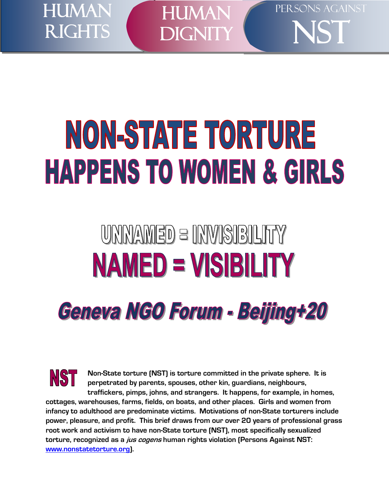

 $\overline{a}$ **HUMAN** DIGNITY PERSONS AGAINST

NST

# NON-STATE TORTURE **HAPPENS TO WOMEN & GIRLS**

# UNNAMED = INVISIBILITY **NAMED = VISIBILITY Geneva NGO Forum - Beijing+20**

NST **Non-State torture (NST) is torture committed in the private sphere. It is perpetrated by parents, spouses, other kin, guardians, neighbours, traffickers, pimps, johns, and strangers. It happens, for example, in homes, cottages, warehouses, farms, fields, on boats, and other places. Girls and women from infancy to adulthood are predominate victims. Motivations of non-State torturers include power, pleasure, and profit. This brief draws from our over 20 years of professional grass root work and activism to have non-State torture (NST), most specifically sexualized torture, recognized as a jus cogens human rights violation (Persons Against NST: [www.nonstatetorture.org\)](http://www.nonstatetorture.org/).**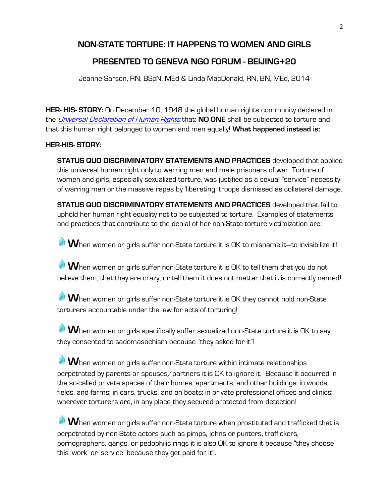# **NON-STATE TORTURE: IT HAPPENS TO WOMEN AND GIRLS**

# **PRESENTED TO GENEVA NGO FORUM - BEIJING+20**

Jeanne Sarson, RN, BScN, MEd & Linda MacDonald, RN, BN, MEd, 2014

**HER- HIS- STORY:** On December 10, 1948 the global human rights community declared in the [Universal Declaration of Human Rights](http://www.un.org/en/documents/udhr/) that: **NO ONE** shall be subjected to torture and that this human right belonged to women and men equally! **What happened instead is:**

### **HER-HIS- STORY:**

**STATUS QUO DISCRIMINATORY STATEMENTS AND PRACTICES** developed that applied this universal human right only to warring men and male prisoners of war. Torture of women and girls, especially sexualized torture, was justified as a sexual "service" necessity of warring men or the massive rapes by 'liberating' troops dismissed as collateral damage.

**STATUS QUO DISCRIMINATORY STATEMENTS AND PRACTICES** developed that fail to uphold her human right equality not to be subjected to torture. Examples of statements and practices that contribute to the denial of her non-State torture victimization are:

**W**hen women or girls suffer non-State torture it is OK to misname it—to invisibilize it!

**W**hen women or girls suffer non-State torture it is OK to tell them that you do not believe them, that they are crazy, or tell them it does not matter that it is correctly named!

**W**hen women or girls suffer non-State torture it is OK they cannot hold non-State torturers accountable under the law for acts of torturing!

**W**hen women or girls specifically suffer sexualized non-State torture it is OK to say they consented to sadomasochism because "they asked for it"!

**W**hen women or girls suffer non-State torture within intimate relationships perpetrated by parents or spouses/partners it is OK to ignore it. Because it occurred in the so-called private spaces of their homes, apartments, and other buildings; in woods, fields, and farms; in cars, trucks, and on boats; in private professional offices and clinics; wherever torturers are, in any place they secured protected from detection!

**W**hen women or girls suffer non-State torture when prostituted and trafficked that is perpetrated by non-State actors such as pimps, johns or punters, traffickers, pornographers, gangs, or pedophilic rings it is also OK to ignore it because "they choose this 'work' or 'service' because they get paid for it".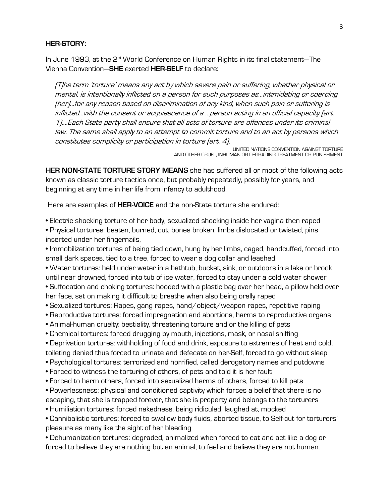#### **HER-STORY:**

In June 1993, at the 2<sup>nd</sup> World Conference on Human Rights in its final statement—The Vienna Convention—**SHE** exerted **HER-SELF** to declare:

[T]he term 'torture' means any act by which severe pain or suffering, whether physical or mental, is intentionally inflicted on a person for such purposes as...intimidating or coercing [her]...for any reason based on discrimination of any kind, when such pain or suffering is inflicted...with the consent or acquiescence of a ...person acting in an official capacity (art. 1)....Each State party shall ensure that all acts of torture are offences under its criminal law. The same shall apply to an attempt to commit torture and to an act by persons which constitutes complicity or participation in torture (art. 4).

UNITED NATIONS CONVENTION AGAINST TORTURE AND OTHER CRUEL, INHUMAN OR DEGRADING TREATMENT OR PUNISHMENT

**HER NON-STATE TORTURE STORY MEANS** she has suffered all or most of the following acts known as classic torture tactics once, but probably repeatedly, possibly for years, and beginning at any time in her life from infancy to adulthood.

Here are examples of **HER-VOICE** and the non-State torture she endured:

• Electric shocking torture of her body, sexualized shocking inside her vagina then raped

• Physical tortures: beaten, burned, cut, bones broken, limbs dislocated or twisted, pins inserted under her fingernails,

• Immobilization tortures of being tied down, hung by her limbs, caged, handcuffed, forced into small dark spaces, tied to a tree, forced to wear a dog collar and leashed

• Water tortures: held under water in a bathtub, bucket, sink, or outdoors in a lake or brook until near drowned, forced into tub of ice water, forced to stay under a cold water shower

• Suffocation and choking tortures: hooded with a plastic bag over her head, a pillow held over her face, sat on making it difficult to breathe when also being orally raped

- Sexualized tortures: Rapes, gang rapes, hand/object/weapon rapes, repetitive raping
- Reproductive tortures: forced impregnation and abortions, harms to reproductive organs
- Animal-human cruelty: bestiality, threatening torture and or the killing of pets
- Chemical tortures: forced drugging by mouth, injections, mask, or nasal sniffing
- Deprivation tortures: withholding of food and drink, exposure to extremes of heat and cold, toileting denied thus forced to urinate and defecate on her-Self, forced to go without sleep
- Psychological tortures: terrorized and horrified, called derogatory names and putdowns
- Forced to witness the torturing of others, of pets and told it is her fault
- Forced to harm others, forced into sexualized harms of others, forced to kill pets
- Powerlessness: physical and conditioned captivity which forces a belief that there is no escaping, that she is trapped forever, that she is property and belongs to the torturers
- Humiliation tortures: forced nakedness, being ridiculed, laughed at, mocked
- Cannibalistic tortures: forced to swallow body fluids, aborted tissue, to Self-cut for torturers' pleasure as many like the sight of her bleeding

• Dehumanization tortures: degraded, animalized when forced to eat and act like a dog or forced to believe they are nothing but an animal, to feel and believe they are not human.